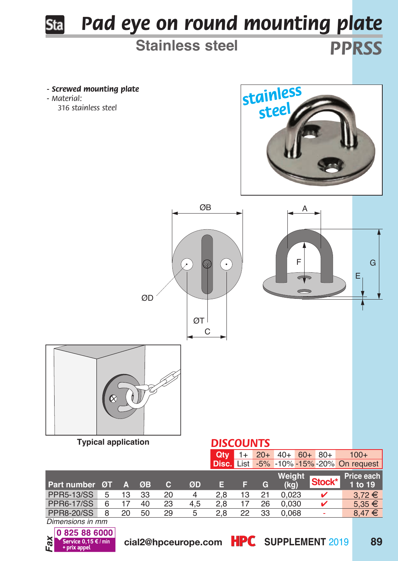

0825886000 *Fax*

**0,15 €/min** cial2@hpceurope.com HPC SUPPLEMENT 2019 89